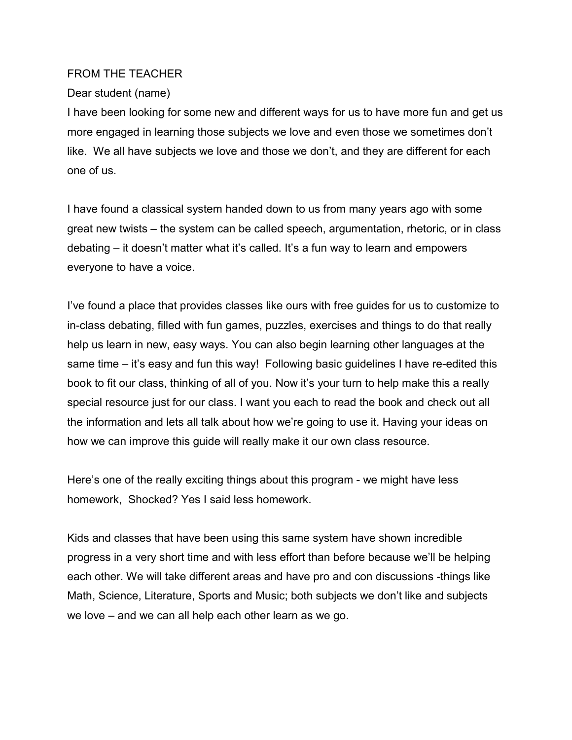## FROM THE TEACHER

## Dear student (name)

I have been looking for some new and different ways for us to have more fun and get us more engaged in learning those subjects we love and even those we sometimes don't like. We all have subjects we love and those we don't, and they are different for each one of us.

I have found a classical system handed down to us from many years ago with some great new twists – the system can be called speech, argumentation, rhetoric, or in class debating – it doesn't matter what it's called. It's a fun way to learn and empowers everyone to have a voice.

I've found a place that provides classes like ours with free guides for us to customize to in-class debating, filled with fun games, puzzles, exercises and things to do that really help us learn in new, easy ways. You can also begin learning other languages at the same time – it's easy and fun this way! Following basic guidelines I have re-edited this book to fit our class, thinking of all of you. Now it's your turn to help make this a really special resource just for our class. I want you each to read the book and check out all the information and lets all talk about how we're going to use it. Having your ideas on how we can improve this guide will really make it our own class resource.

Here's one of the really exciting things about this program - we might have less homework, Shocked? Yes I said less homework.

Kids and classes that have been using this same system have shown incredible progress in a very short time and with less effort than before because we'll be helping each other. We will take different areas and have pro and con discussions -things like Math, Science, Literature, Sports and Music; both subjects we don't like and subjects we love – and we can all help each other learn as we go.